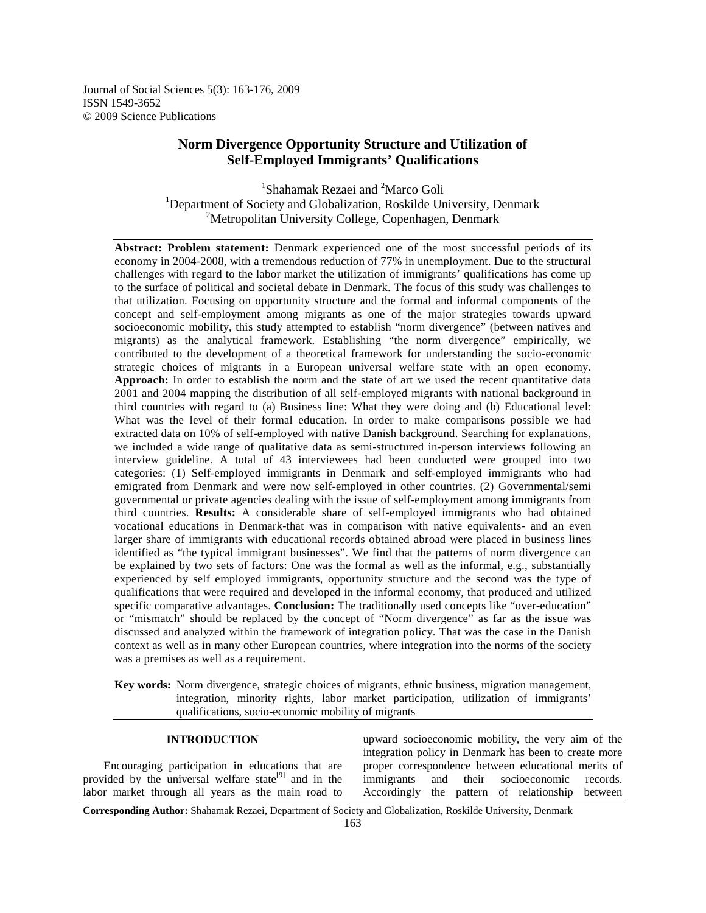Journal of Social Sciences 5(3): 163-176, 2009 ISSN 1549-3652 © 2009 Science Publications

# **Norm Divergence Opportunity Structure and Utilization of Self-Employed Immigrants' Qualifications**

<sup>1</sup>Shahamak Rezaei and <sup>2</sup>Marco Goli <sup>1</sup>Department of Society and Globalization, Roskilde University, Denmark <sup>2</sup>Metropolitan University College, Copenhagen, Denmark

**Abstract: Problem statement:** Denmark experienced one of the most successful periods of its economy in 2004-2008, with a tremendous reduction of 77% in unemployment. Due to the structural challenges with regard to the labor market the utilization of immigrants' qualifications has come up to the surface of political and societal debate in Denmark. The focus of this study was challenges to that utilization. Focusing on opportunity structure and the formal and informal components of the concept and self-employment among migrants as one of the major strategies towards upward socioeconomic mobility, this study attempted to establish "norm divergence" (between natives and migrants) as the analytical framework. Establishing "the norm divergence" empirically, we contributed to the development of a theoretical framework for understanding the socio-economic strategic choices of migrants in a European universal welfare state with an open economy. **Approach:** In order to establish the norm and the state of art we used the recent quantitative data 2001 and 2004 mapping the distribution of all self-employed migrants with national background in third countries with regard to (a) Business line: What they were doing and (b) Educational level: What was the level of their formal education. In order to make comparisons possible we had extracted data on 10% of self-employed with native Danish background. Searching for explanations, we included a wide range of qualitative data as semi-structured in-person interviews following an interview guideline. A total of 43 interviewees had been conducted were grouped into two categories: (1) Self-employed immigrants in Denmark and self-employed immigrants who had emigrated from Denmark and were now self-employed in other countries. (2) Governmental/semi governmental or private agencies dealing with the issue of self-employment among immigrants from third countries. **Results:** A considerable share of self-employed immigrants who had obtained vocational educations in Denmark-that was in comparison with native equivalents- and an even larger share of immigrants with educational records obtained abroad were placed in business lines identified as "the typical immigrant businesses". We find that the patterns of norm divergence can be explained by two sets of factors: One was the formal as well as the informal, e.g., substantially experienced by self employed immigrants, opportunity structure and the second was the type of qualifications that were required and developed in the informal economy, that produced and utilized specific comparative advantages. **Conclusion:** The traditionally used concepts like "over-education" or "mismatch" should be replaced by the concept of "Norm divergence" as far as the issue was discussed and analyzed within the framework of integration policy. That was the case in the Danish context as well as in many other European countries, where integration into the norms of the society was a premises as well as a requirement.

**Key words:** Norm divergence, strategic choices of migrants, ethnic business, migration management, integration, minority rights, labor market participation, utilization of immigrants' qualifications, socio-economic mobility of migrants

## **INTRODUCTION**

 Encouraging participation in educations that are provided by the universal welfare state<sup>[9]</sup> and in the labor market through all years as the main road to

upward socioeconomic mobility, the very aim of the integration policy in Denmark has been to create more proper correspondence between educational merits of immigrants and their socioeconomic records. Accordingly the pattern of relationship between

**Corresponding Author:** Shahamak Rezaei, Department of Society and Globalization, Roskilde University, Denmark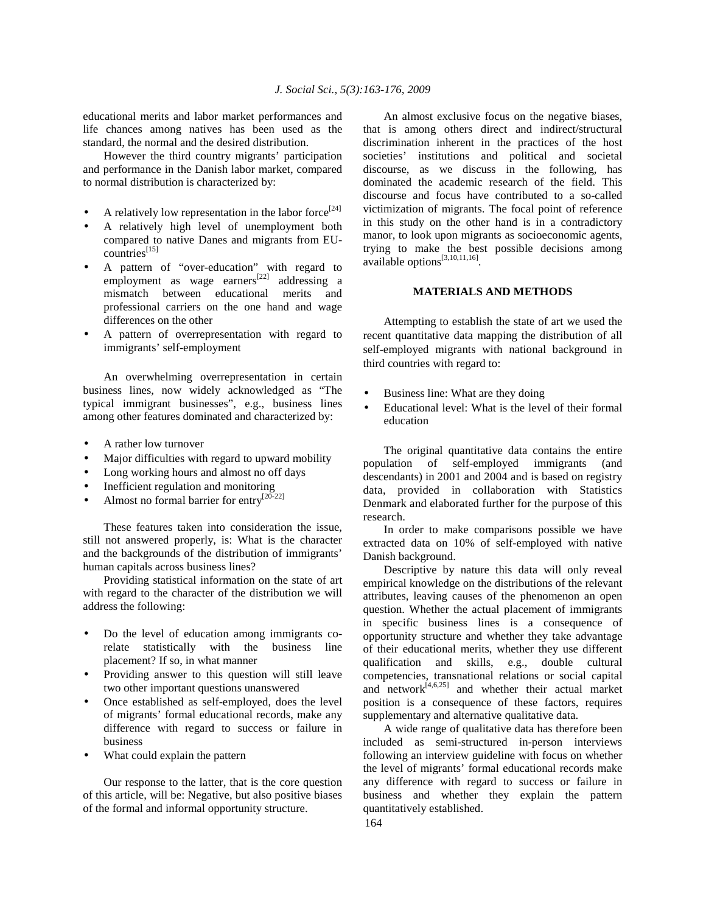educational merits and labor market performances and life chances among natives has been used as the standard, the normal and the desired distribution.

 However the third country migrants' participation and performance in the Danish labor market, compared to normal distribution is characterized by:

- A relatively low representation in the labor force<sup>[24]</sup>
- A relatively high level of unemployment both compared to native Danes and migrants from EUcountries<sup>[15]</sup>
- A pattern of "over-education" with regard to employment as wage earners<sup>[22]</sup> addressing a mismatch between educational merits and professional carriers on the one hand and wage differences on the other
- A pattern of overrepresentation with regard to immigrants' self-employment

 An overwhelming overrepresentation in certain business lines, now widely acknowledged as "The typical immigrant businesses", e.g., business lines among other features dominated and characterized by:

- A rather low turnover
- Major difficulties with regard to upward mobility
- Long working hours and almost no off days
- Inefficient regulation and monitoring
- Almost no formal barrier for entry<sup>[20-22]</sup>

 These features taken into consideration the issue, still not answered properly, is: What is the character and the backgrounds of the distribution of immigrants' human capitals across business lines?

 Providing statistical information on the state of art with regard to the character of the distribution we will address the following:

- Do the level of education among immigrants corelate statistically with the business line placement? If so, in what manner
- Providing answer to this question will still leave two other important questions unanswered
- Once established as self-employed, does the level of migrants' formal educational records, make any difference with regard to success or failure in business
- What could explain the pattern

 Our response to the latter, that is the core question of this article, will be: Negative, but also positive biases of the formal and informal opportunity structure.

 An almost exclusive focus on the negative biases, that is among others direct and indirect/structural discrimination inherent in the practices of the host societies' institutions and political and societal discourse, as we discuss in the following, has dominated the academic research of the field. This discourse and focus have contributed to a so-called victimization of migrants. The focal point of reference in this study on the other hand is in a contradictory manor, to look upon migrants as socioeconomic agents, trying to make the best possible decisions among available options<sup>[3,10,11,16]</sup>.

### **MATERIALS AND METHODS**

 Attempting to establish the state of art we used the recent quantitative data mapping the distribution of all self-employed migrants with national background in third countries with regard to:

- Business line: What are they doing
- Educational level: What is the level of their formal education

 The original quantitative data contains the entire population of self-employed immigrants (and descendants) in 2001 and 2004 and is based on registry data, provided in collaboration with Statistics Denmark and elaborated further for the purpose of this research.

 In order to make comparisons possible we have extracted data on 10% of self-employed with native Danish background.

 Descriptive by nature this data will only reveal empirical knowledge on the distributions of the relevant attributes, leaving causes of the phenomenon an open question. Whether the actual placement of immigrants in specific business lines is a consequence of opportunity structure and whether they take advantage of their educational merits, whether they use different qualification and skills, e.g., double cultural competencies, transnational relations or social capital and network $[4,6,25]$  and whether their actual market position is a consequence of these factors, requires supplementary and alternative qualitative data.

 A wide range of qualitative data has therefore been included as semi-structured in-person interviews following an interview guideline with focus on whether the level of migrants' formal educational records make any difference with regard to success or failure in business and whether they explain the pattern quantitatively established.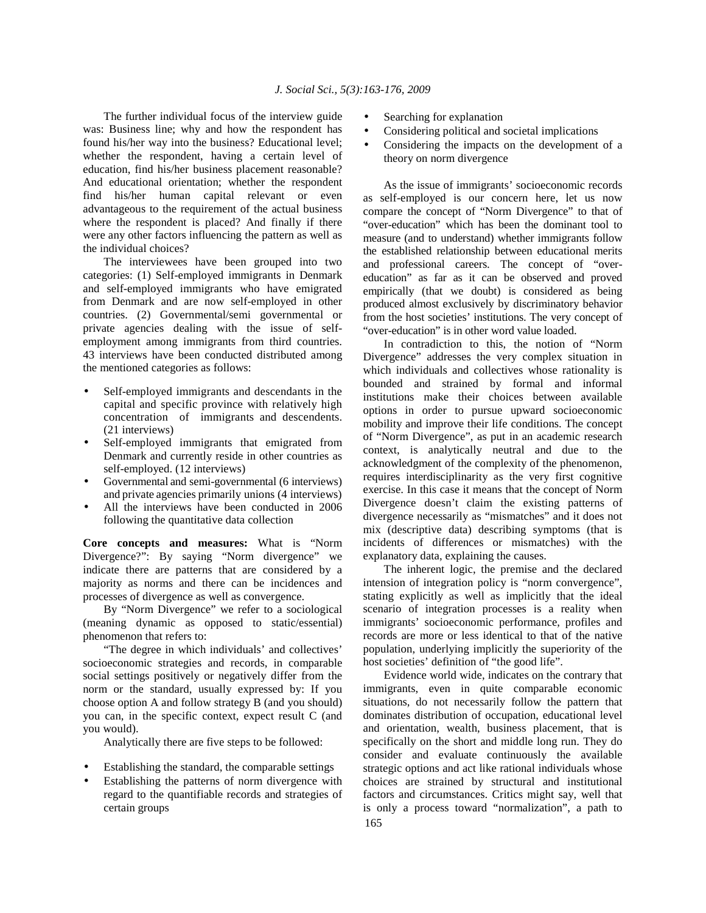The further individual focus of the interview guide was: Business line; why and how the respondent has found his/her way into the business? Educational level; whether the respondent, having a certain level of education, find his/her business placement reasonable? And educational orientation; whether the respondent find his/her human capital relevant or even advantageous to the requirement of the actual business where the respondent is placed? And finally if there were any other factors influencing the pattern as well as the individual choices?

 The interviewees have been grouped into two categories: (1) Self-employed immigrants in Denmark and self-employed immigrants who have emigrated from Denmark and are now self-employed in other countries. (2) Governmental/semi governmental or private agencies dealing with the issue of selfemployment among immigrants from third countries. 43 interviews have been conducted distributed among the mentioned categories as follows:

- Self-employed immigrants and descendants in the capital and specific province with relatively high concentration of immigrants and descendents. (21 interviews)
- Self-employed immigrants that emigrated from Denmark and currently reside in other countries as self-employed. (12 interviews)
- Governmental and semi-governmental (6 interviews) and private agencies primarily unions (4 interviews)
- All the interviews have been conducted in 2006 following the quantitative data collection

**Core concepts and measures:** What is "Norm Divergence?": By saying "Norm divergence" we indicate there are patterns that are considered by a majority as norms and there can be incidences and processes of divergence as well as convergence.

 By "Norm Divergence" we refer to a sociological (meaning dynamic as opposed to static/essential) phenomenon that refers to:

 "The degree in which individuals' and collectives' socioeconomic strategies and records, in comparable social settings positively or negatively differ from the norm or the standard, usually expressed by: If you choose option A and follow strategy B (and you should) you can, in the specific context, expect result C (and you would).

Analytically there are five steps to be followed:

- Establishing the standard, the comparable settings
- Establishing the patterns of norm divergence with regard to the quantifiable records and strategies of certain groups
- Searching for explanation
- Considering political and societal implications
- Considering the impacts on the development of a theory on norm divergence

 As the issue of immigrants' socioeconomic records as self-employed is our concern here, let us now compare the concept of "Norm Divergence" to that of "over-education" which has been the dominant tool to measure (and to understand) whether immigrants follow the established relationship between educational merits and professional careers. The concept of "overeducation" as far as it can be observed and proved empirically (that we doubt) is considered as being produced almost exclusively by discriminatory behavior from the host societies' institutions. The very concept of "over-education" is in other word value loaded.

 In contradiction to this, the notion of "Norm Divergence" addresses the very complex situation in which individuals and collectives whose rationality is bounded and strained by formal and informal institutions make their choices between available options in order to pursue upward socioeconomic mobility and improve their life conditions. The concept of "Norm Divergence", as put in an academic research context, is analytically neutral and due to the acknowledgment of the complexity of the phenomenon, requires interdisciplinarity as the very first cognitive exercise. In this case it means that the concept of Norm Divergence doesn't claim the existing patterns of divergence necessarily as "mismatches" and it does not mix (descriptive data) describing symptoms (that is incidents of differences or mismatches) with the explanatory data, explaining the causes.

 The inherent logic, the premise and the declared intension of integration policy is "norm convergence", stating explicitly as well as implicitly that the ideal scenario of integration processes is a reality when immigrants' socioeconomic performance, profiles and records are more or less identical to that of the native population, underlying implicitly the superiority of the host societies' definition of "the good life".

 165 Evidence world wide, indicates on the contrary that immigrants, even in quite comparable economic situations, do not necessarily follow the pattern that dominates distribution of occupation, educational level and orientation, wealth, business placement, that is specifically on the short and middle long run. They do consider and evaluate continuously the available strategic options and act like rational individuals whose choices are strained by structural and institutional factors and circumstances. Critics might say, well that is only a process toward "normalization", a path to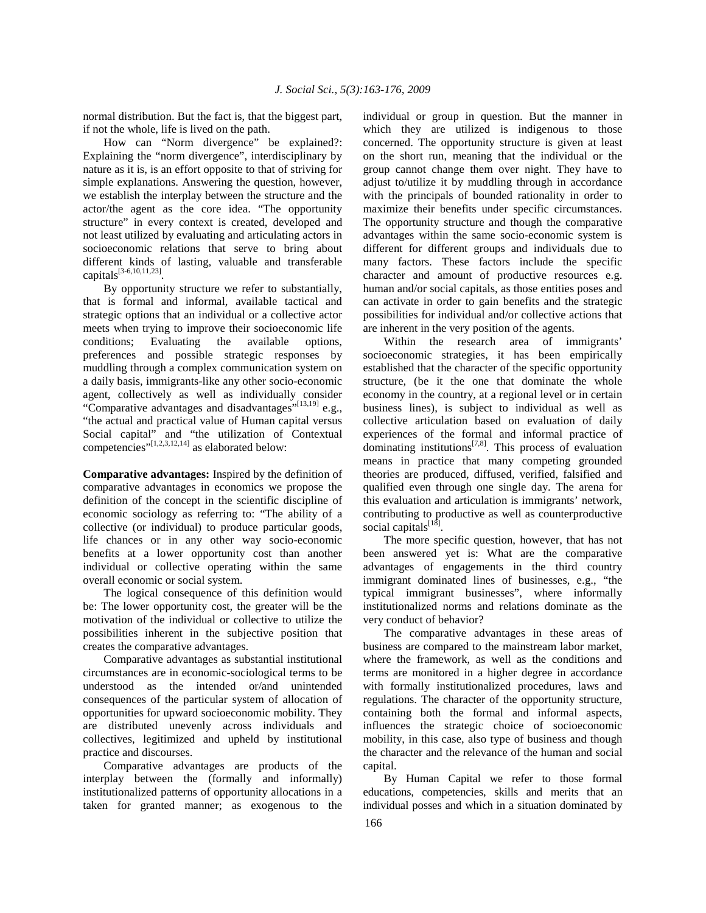normal distribution. But the fact is, that the biggest part, if not the whole, life is lived on the path.

 How can "Norm divergence" be explained?: Explaining the "norm divergence", interdisciplinary by nature as it is, is an effort opposite to that of striving for simple explanations. Answering the question, however, we establish the interplay between the structure and the actor/the agent as the core idea. "The opportunity structure" in every context is created, developed and not least utilized by evaluating and articulating actors in socioeconomic relations that serve to bring about different kinds of lasting, valuable and transferable capitals[3-6,10,11,23] .

 By opportunity structure we refer to substantially, that is formal and informal, available tactical and strategic options that an individual or a collective actor meets when trying to improve their socioeconomic life conditions; Evaluating the available options, preferences and possible strategic responses by muddling through a complex communication system on a daily basis, immigrants-like any other socio-economic agent, collectively as well as individually consider "Comparative advantages and disadvantages"<sup>[13,19]</sup> e.g., "the actual and practical value of Human capital versus Social capital" and "the utilization of Contextual competencies" $[1,2,3,12,14]$  as elaborated below:

**Comparative advantages:** Inspired by the definition of comparative advantages in economics we propose the definition of the concept in the scientific discipline of economic sociology as referring to: "The ability of a collective (or individual) to produce particular goods, life chances or in any other way socio-economic benefits at a lower opportunity cost than another individual or collective operating within the same overall economic or social system.

 The logical consequence of this definition would be: The lower opportunity cost, the greater will be the motivation of the individual or collective to utilize the possibilities inherent in the subjective position that creates the comparative advantages.

 Comparative advantages as substantial institutional circumstances are in economic-sociological terms to be understood as the intended or/and unintended consequences of the particular system of allocation of opportunities for upward socioeconomic mobility. They are distributed unevenly across individuals and collectives, legitimized and upheld by institutional practice and discourses.

 Comparative advantages are products of the interplay between the (formally and informally) institutionalized patterns of opportunity allocations in a taken for granted manner; as exogenous to the individual or group in question. But the manner in which they are utilized is indigenous to those concerned. The opportunity structure is given at least on the short run, meaning that the individual or the group cannot change them over night. They have to adjust to/utilize it by muddling through in accordance with the principals of bounded rationality in order to maximize their benefits under specific circumstances. The opportunity structure and though the comparative advantages within the same socio-economic system is different for different groups and individuals due to many factors. These factors include the specific character and amount of productive resources e.g. human and/or social capitals, as those entities poses and can activate in order to gain benefits and the strategic possibilities for individual and/or collective actions that are inherent in the very position of the agents.

 Within the research area of immigrants' socioeconomic strategies, it has been empirically established that the character of the specific opportunity structure, (be it the one that dominate the whole economy in the country, at a regional level or in certain business lines), is subject to individual as well as collective articulation based on evaluation of daily experiences of the formal and informal practice of dominating institutions $^{[7,8]}$ . This process of evaluation means in practice that many competing grounded theories are produced, diffused, verified, falsified and qualified even through one single day. The arena for this evaluation and articulation is immigrants' network, contributing to productive as well as counterproductive social capitals<sup>[18]</sup>.

 The more specific question, however, that has not been answered yet is: What are the comparative advantages of engagements in the third country immigrant dominated lines of businesses, e.g., "the typical immigrant businesses", where informally institutionalized norms and relations dominate as the very conduct of behavior?

 The comparative advantages in these areas of business are compared to the mainstream labor market, where the framework, as well as the conditions and terms are monitored in a higher degree in accordance with formally institutionalized procedures, laws and regulations. The character of the opportunity structure, containing both the formal and informal aspects, influences the strategic choice of socioeconomic mobility, in this case, also type of business and though the character and the relevance of the human and social capital.

 By Human Capital we refer to those formal educations, competencies, skills and merits that an individual posses and which in a situation dominated by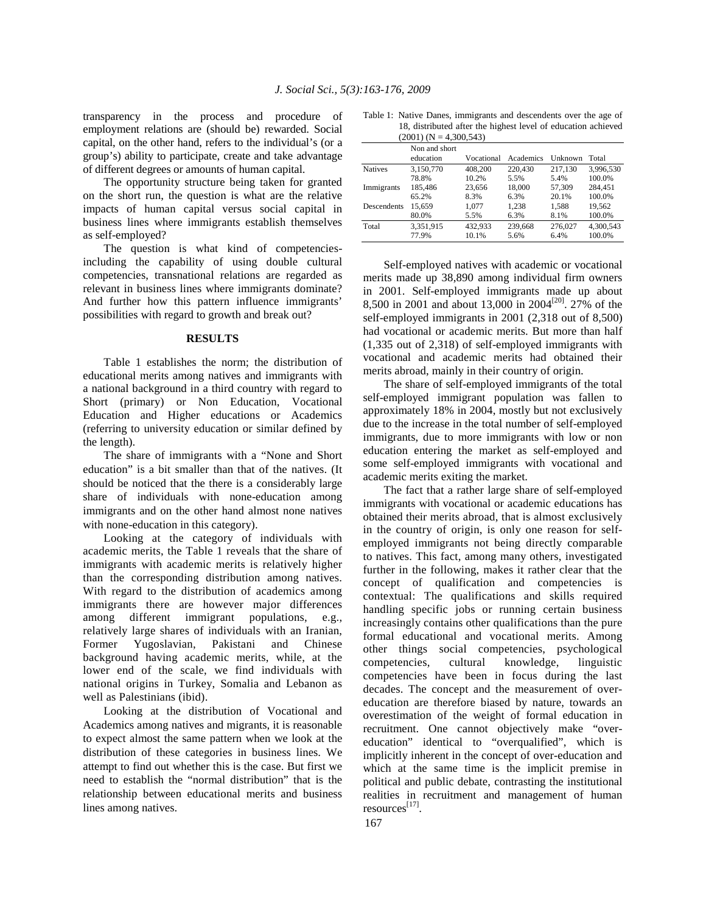transparency in the process and procedure of employment relations are (should be) rewarded. Social capital, on the other hand, refers to the individual's (or a group's) ability to participate, create and take advantage of different degrees or amounts of human capital.

 The opportunity structure being taken for granted on the short run, the question is what are the relative impacts of human capital versus social capital in business lines where immigrants establish themselves as self-employed?

 The question is what kind of competenciesincluding the capability of using double cultural competencies, transnational relations are regarded as relevant in business lines where immigrants dominate? And further how this pattern influence immigrants' possibilities with regard to growth and break out?

#### **RESULTS**

 Table 1 establishes the norm; the distribution of educational merits among natives and immigrants with a national background in a third country with regard to Short (primary) or Non Education, Vocational Education and Higher educations or Academics (referring to university education or similar defined by the length).

 The share of immigrants with a "None and Short education" is a bit smaller than that of the natives. (It should be noticed that the there is a considerably large share of individuals with none-education among immigrants and on the other hand almost none natives with none-education in this category).

 Looking at the category of individuals with academic merits, the Table 1 reveals that the share of immigrants with academic merits is relatively higher than the corresponding distribution among natives. With regard to the distribution of academics among immigrants there are however major differences among different immigrant populations, e.g., relatively large shares of individuals with an Iranian, Former Yugoslavian, Pakistani and Chinese background having academic merits, while, at the lower end of the scale, we find individuals with national origins in Turkey, Somalia and Lebanon as well as Palestinians (ibid).

 Looking at the distribution of Vocational and Academics among natives and migrants, it is reasonable to expect almost the same pattern when we look at the distribution of these categories in business lines. We attempt to find out whether this is the case. But first we need to establish the "normal distribution" that is the relationship between educational merits and business lines among natives.

Table 1: Native Danes, immigrants and descendents over the age of 18, distributed after the highest level of education achieved  $(2001)$  (N = 4,300,543)

|                | Non and short<br>education | Vocational | Academics | Unknown | Total     |
|----------------|----------------------------|------------|-----------|---------|-----------|
| <b>Natives</b> | 3.150.770                  | 408,200    | 220,430   | 217.130 | 3.996.530 |
|                | 78.8%                      | 10.2%      | 5.5%      | 5.4%    | 100.0%    |
| Immigrants     | 185,486                    | 23,656     | 18,000    | 57,309  | 284.451   |
|                | 65.2%                      | 8.3%       | 6.3%      | 20.1%   | 100.0%    |
| Descendents    | 15.659                     | 1.077      | 1.238     | 1.588   | 19.562    |
|                | 80.0%                      | 5.5%       | 6.3%      | 8.1%    | 100.0%    |
| Total          | 3,351,915                  | 432.933    | 239,668   | 276,027 | 4.300.543 |
|                | 77.9%                      | 10.1%      | 5.6%      | 6.4%    | 100.0%    |

 Self-employed natives with academic or vocational merits made up 38,890 among individual firm owners in 2001. Self-employed immigrants made up about 8,500 in 2001 and about 13,000 in 2004[20]. 27% of the self-employed immigrants in 2001 (2,318 out of 8,500) had vocational or academic merits. But more than half (1,335 out of 2,318) of self-employed immigrants with vocational and academic merits had obtained their merits abroad, mainly in their country of origin.

 The share of self-employed immigrants of the total self-employed immigrant population was fallen to approximately 18% in 2004, mostly but not exclusively due to the increase in the total number of self-employed immigrants, due to more immigrants with low or non education entering the market as self-employed and some self-employed immigrants with vocational and academic merits exiting the market.

 The fact that a rather large share of self-employed immigrants with vocational or academic educations has obtained their merits abroad, that is almost exclusively in the country of origin, is only one reason for selfemployed immigrants not being directly comparable to natives. This fact, among many others, investigated further in the following, makes it rather clear that the concept of qualification and competencies is contextual: The qualifications and skills required handling specific jobs or running certain business increasingly contains other qualifications than the pure formal educational and vocational merits. Among other things social competencies, psychological competencies, cultural knowledge, linguistic competencies have been in focus during the last decades. The concept and the measurement of overeducation are therefore biased by nature, towards an overestimation of the weight of formal education in recruitment. One cannot objectively make "overeducation" identical to "overqualified", which is implicitly inherent in the concept of over-education and which at the same time is the implicit premise in political and public debate, contrasting the institutional realities in recruitment and management of human resources<sup>[17]</sup>.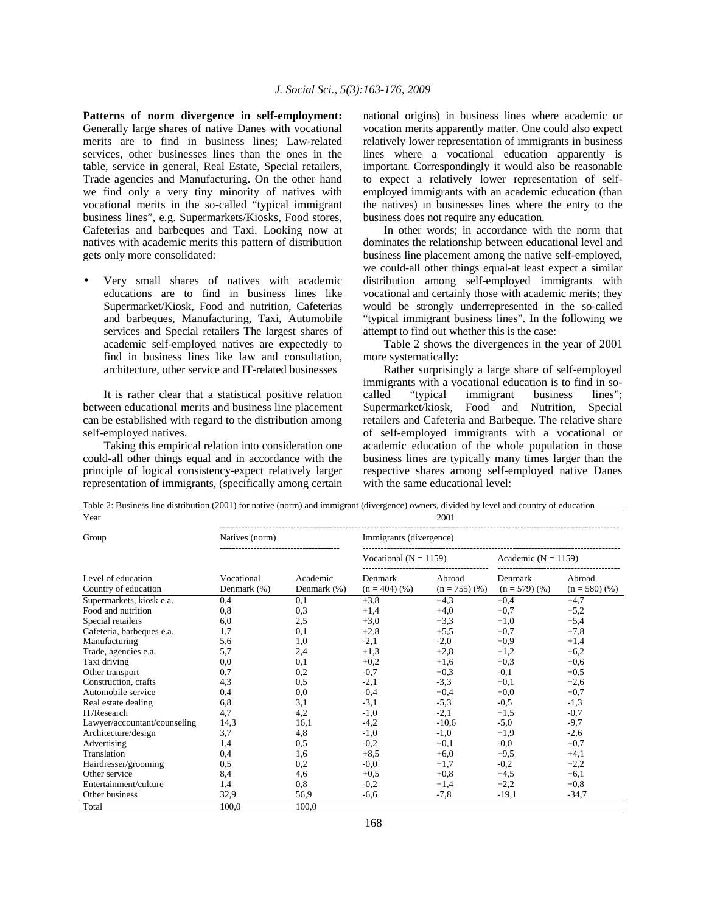**Patterns of norm divergence in self-employment:**  Generally large shares of native Danes with vocational merits are to find in business lines; Law-related services, other businesses lines than the ones in the table, service in general, Real Estate, Special retailers, Trade agencies and Manufacturing. On the other hand we find only a very tiny minority of natives with vocational merits in the so-called "typical immigrant business lines", e.g. Supermarkets/Kiosks, Food stores, Cafeterias and barbeques and Taxi. Looking now at natives with academic merits this pattern of distribution gets only more consolidated:

• Very small shares of natives with academic educations are to find in business lines like Supermarket/Kiosk, Food and nutrition, Cafeterias and barbeques, Manufacturing, Taxi, Automobile services and Special retailers The largest shares of academic self-employed natives are expectedly to find in business lines like law and consultation, architecture, other service and IT-related businesses

 It is rather clear that a statistical positive relation between educational merits and business line placement can be established with regard to the distribution among self-employed natives.

 Taking this empirical relation into consideration one could-all other things equal and in accordance with the principle of logical consistency-expect relatively larger representation of immigrants, (specifically among certain national origins) in business lines where academic or vocation merits apparently matter. One could also expect relatively lower representation of immigrants in business lines where a vocational education apparently is important. Correspondingly it would also be reasonable to expect a relatively lower representation of selfemployed immigrants with an academic education (than the natives) in businesses lines where the entry to the business does not require any education.

 In other words; in accordance with the norm that dominates the relationship between educational level and business line placement among the native self-employed, we could-all other things equal-at least expect a similar distribution among self-employed immigrants with vocational and certainly those with academic merits; they would be strongly underrepresented in the so-called "typical immigrant business lines". In the following we attempt to find out whether this is the case:

 Table 2 shows the divergences in the year of 2001 more systematically:

 Rather surprisingly a large share of self-employed immigrants with a vocational education is to find in so-<br>called "typical immigrant business lines": called "typical immigrant business" Supermarket/kiosk, Food and Nutrition, Special retailers and Cafeteria and Barbeque. The relative share of self-employed immigrants with a vocational or academic education of the whole population in those business lines are typically many times larger than the respective shares among self-employed native Danes with the same educational level:

Table 2: Business line distribution (2001) for native (norm) and immigrant (divergence) owners, divided by level and country of education

| Year                         | 2001           |             |                           |                 |                         |                 |  |  |  |  |  |
|------------------------------|----------------|-------------|---------------------------|-----------------|-------------------------|-----------------|--|--|--|--|--|
| Group                        | Natives (norm) |             | Immigrants (divergence)   |                 |                         |                 |  |  |  |  |  |
|                              |                |             | Vocational ( $N = 1159$ ) |                 | Academic ( $N = 1159$ ) |                 |  |  |  |  |  |
| Level of education           | Vocational     | Academic    | Denmark                   | Abroad          | Denmark                 | Abroad          |  |  |  |  |  |
| Country of education         | Denmark (%)    | Denmark (%) | $(n = 404)$ (%)           | $(n = 755)$ (%) | $(n = 579)$ (%)         | $(n = 580)$ (%) |  |  |  |  |  |
| Supermarkets, kiosk e.a.     | 0.4            | 0,1         | $+3,8$                    | $+4,3$          | $+0.4$                  | $+4,7$          |  |  |  |  |  |
| Food and nutrition           | 0,8            | 0,3         | $+1.4$                    | $+4,0$          | $+0.7$                  | $+5,2$          |  |  |  |  |  |
| Special retailers            | 6,0            | 2,5         | $+3,0$                    | $+3,3$          | $+1.0$                  | $+5,4$          |  |  |  |  |  |
| Cafeteria, barbeques e.a.    | 1,7            | 0,1         | $+2,8$                    | $+5,5$          | $+0.7$                  | $+7,8$          |  |  |  |  |  |
| Manufacturing                | 5,6            | 1,0         | $-2,1$                    | $-2,0$          | $+0.9$                  | $+1,4$          |  |  |  |  |  |
| Trade, agencies e.a.         | 5,7            | 2,4         | $+1,3$                    | $+2,8$          | $+1,2$                  | $+6,2$          |  |  |  |  |  |
| Taxi driving                 | 0,0            | 0,1         | $+0,2$                    | $+1,6$          | $+0,3$                  | $+0,6$          |  |  |  |  |  |
| Other transport              | 0,7            | 0,2         | $-0.7$                    | $+0,3$          | $-0,1$                  | $+0,5$          |  |  |  |  |  |
| Construction, crafts         | 4,3            | 0,5         | $-2,1$                    | $-3,3$          | $+0,1$                  | $+2,6$          |  |  |  |  |  |
| Automobile service           | 0,4            | 0,0         | $-0,4$                    | $+0,4$          | $+0.0$                  | $+0,7$          |  |  |  |  |  |
| Real estate dealing          | 6,8            | 3,1         | $-3,1$                    | $-5.3$          | $-0.5$                  | $-1,3$          |  |  |  |  |  |
| IT/Research                  | 4,7            | 4,2         | $-1,0$                    | $-2,1$          | $+1,5$                  | $-0,7$          |  |  |  |  |  |
| Lawyer/accountant/counseling | 14,3           | 16.1        | $-4,2$                    | $-10.6$         | $-5,0$                  | $-9,7$          |  |  |  |  |  |
| Architecture/design          | 3,7            | 4,8         | $-1,0$                    | $-1,0$          | $+1.9$                  | $-2,6$          |  |  |  |  |  |
| Advertising                  | 1,4            | 0,5         | $-0,2$                    | $+0,1$          | $-0.0$                  | $+0,7$          |  |  |  |  |  |
| Translation                  | 0,4            | 1,6         | $+8.5$                    | $+6,0$          | $+9.5$                  | $+4,1$          |  |  |  |  |  |
| Hairdresser/grooming         | 0,5            | 0,2         | $-0.0$                    | $+1,7$          | $-0,2$                  | $+2,2$          |  |  |  |  |  |
| Other service                | 8,4            | 4,6         | $+0.5$                    | $+0.8$          | $+4,5$                  | $+6,1$          |  |  |  |  |  |
| Entertainment/culture        | 1,4            | 0,8         | $-0,2$                    | $+1,4$          | $+2,2$                  | $+0,8$          |  |  |  |  |  |
| Other business               | 32,9           | 56,9        | $-6.6$                    | $-7,8$          | $-19.1$                 | $-34.7$         |  |  |  |  |  |
| Total                        | 100,0          | 100.0       |                           |                 |                         |                 |  |  |  |  |  |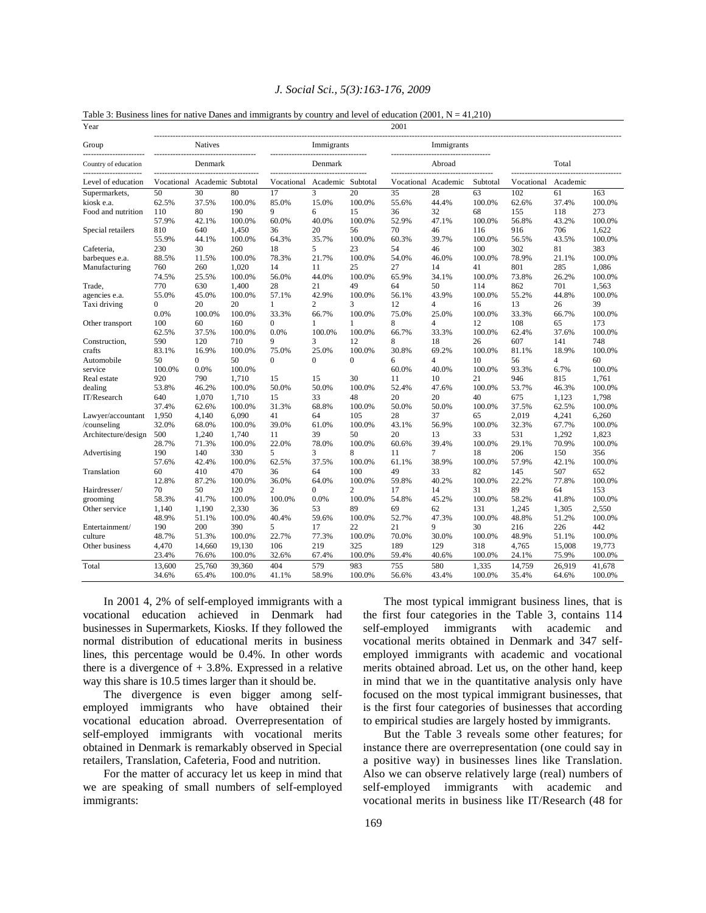| Table 5. Dusiness lines for halfve Dancs and fillingrafies by country and level of education (2001, 14 = 41,210<br>Year |            |                   |        |                |                                    |                | 2001                |                                                     |          |            |                |        |
|-------------------------------------------------------------------------------------------------------------------------|------------|-------------------|--------|----------------|------------------------------------|----------------|---------------------|-----------------------------------------------------|----------|------------|----------------|--------|
| Group                                                                                                                   |            | <b>Natives</b>    |        |                | Immigrants<br>-------------------- |                |                     | Immigrants<br>------------------------------------- |          |            |                |        |
| Country of education                                                                                                    |            | Denmark           |        |                | Denmark                            |                |                     | Abroad                                              |          |            | Total          |        |
| Level of education                                                                                                      | Vocational | Academic Subtotal |        | Vocational     | Academic Subtotal                  |                | Vocational Academic |                                                     | Subtotal | Vocational | Academic       |        |
| Supermarkets,                                                                                                           | 50         | 30                | 80     | 17             | 3                                  | 20             | 35                  | 28                                                  | 63       | 102        | 61             | 163    |
| kiosk e.a.                                                                                                              | 62.5%      | 37.5%             | 100.0% | 85.0%          | 15.0%                              | 100.0%         | 55.6%               | 44.4%                                               | 100.0%   | 62.6%      | 37.4%          | 100.0% |
| Food and nutrition                                                                                                      | 110        | 80                | 190    | 9              | 6                                  | 15             | 36                  | 32                                                  | 68       | 155        | 118            | 273    |
|                                                                                                                         | 57.9%      | 42.1%             | 100.0% | 60.0%          | 40.0%                              | 100.0%         | 52.9%               | 47.1%                                               | 100.0%   | 56.8%      | 43.2%          | 100.0% |
| Special retailers                                                                                                       | 810        | 640               | 1,450  | 36             | 20                                 | 56             | 70                  | 46                                                  | 116      | 916        | 706            | 1,622  |
|                                                                                                                         | 55.9%      | 44.1%             | 100.0% | 64.3%          | 35.7%                              | 100.0%         | 60.3%               | 39.7%                                               | 100.0%   | 56.5%      | 43.5%          | 100.0% |
| Cafeteria,                                                                                                              | 230        | 30                | 260    | 18             | 5                                  | 23             | 54                  | 46                                                  | 100      | 302        | 81             | 383    |
| barbeques e.a.                                                                                                          | 88.5%      | 11.5%             | 100.0% | 78.3%          | 21.7%                              | 100.0%         | 54.0%               | 46.0%                                               | 100.0%   | 78.9%      | 21.1%          | 100.0% |
| Manufacturing                                                                                                           | 760        | 260               | 1,020  | 14             | 11                                 | 25             | 27                  | 14                                                  | 41       | 801        | 285            | 1,086  |
|                                                                                                                         | 74.5%      | 25.5%             | 100.0% | 56.0%          | 44.0%                              | 100.0%         | 65.9%               | 34.1%                                               | 100.0%   | 73.8%      | 26.2%          | 100.0% |
| Trade,                                                                                                                  | 770        | 630               | 1,400  | 28             | 21                                 | 49             | 64                  | 50                                                  | 114      | 862        | 701            | 1,563  |
| agencies e.a.                                                                                                           | 55.0%      | 45.0%             | 100.0% | 57.1%          | 42.9%                              | 100.0%         | 56.1%               | 43.9%                                               | 100.0%   | 55.2%      | 44.8%          | 100.0% |
| Taxi driving                                                                                                            | 0          | 20                | 20     | 1              | $\overline{c}$                     | 3              | 12                  | 4                                                   | 16       | 13         | 26             | 39     |
|                                                                                                                         | 0.0%       | 100.0%            | 100.0% | 33.3%          | 66.7%                              | 100.0%         | 75.0%               | 25.0%                                               | 100.0%   | 33.3%      | 66.7%          | 100.0% |
| Other transport                                                                                                         | 100        | 60                | 160    | $\overline{0}$ | 1                                  | 1              | 8                   | 4                                                   | 12       | 108        | 65             | 173    |
|                                                                                                                         | 62.5%      | 37.5%             | 100.0% | 0.0%           | 100.0%                             | 100.0%         | 66.7%               | 33.3%                                               | 100.0%   | 62.4%      | 37.6%          | 100.0% |
| Construction,                                                                                                           | 590        | 120               | 710    | 9              | 3                                  | 12             | 8                   | 18                                                  | 26       | 607        | 141            | 748    |
| crafts                                                                                                                  | 83.1%      | 16.9%             | 100.0% | 75.0%          | 25.0%                              | 100.0%         | 30.8%               | 69.2%                                               | 100.0%   | 81.1%      | 18.9%          | 100.0% |
| Automobile                                                                                                              | 50         | $\overline{0}$    | 50     | $\overline{0}$ | $\mathbf{0}$                       | $\overline{0}$ | 6                   | 4                                                   | 10       | 56         | $\overline{4}$ | 60     |
| service                                                                                                                 | 100.0%     | 0.0%              | 100.0% |                |                                    |                | 60.0%               | 40.0%                                               | 100.0%   | 93.3%      | 6.7%           | 100.0% |
| Real estate                                                                                                             | 920        | 790               | 1,710  | 15             | 15                                 | 30             | 11                  | 10                                                  | 21       | 946        | 815            | 1,761  |
| dealing                                                                                                                 | 53.8%      | 46.2%             | 100.0% | 50.0%          | 50.0%                              | 100.0%         | 52.4%               | 47.6%                                               | 100.0%   | 53.7%      | 46.3%          | 100.0% |
| IT/Research                                                                                                             | 640        | 1,070             | 1,710  | 15             | 33                                 | 48             | 20                  | 20                                                  | 40       | 675        | 1,123          | 1,798  |
|                                                                                                                         | 37.4%      | 62.6%             | 100.0% | 31.3%          | 68.8%                              | 100.0%         | 50.0%               | 50.0%                                               | 100.0%   | 37.5%      | 62.5%          | 100.0% |
| Lawyer/accountant                                                                                                       | 1,950      | 4,140             | 6.090  | 41             | 64                                 | 105            | 28                  | 37                                                  | 65       | 2,019      | 4,241          | 6,260  |
| /counseling                                                                                                             | 32.0%      | 68.0%             | 100.0% | 39.0%          | 61.0%                              | 100.0%         | 43.1%               | 56.9%                                               | 100.0%   | 32.3%      | 67.7%          | 100.0% |
| Architecture/design                                                                                                     | 500        | 1,240             | 1,740  | 11             | 39                                 | 50             | 20                  | 13                                                  | 33       | 531        | 1,292          | 1,823  |
|                                                                                                                         | 28.7%      | 71.3%             | 100.0% | 22.0%          | 78.0%                              | 100.0%         | 60.6%               | 39.4%                                               | 100.0%   | 29.1%      | 70.9%          | 100.0% |
| Advertising                                                                                                             | 190        | 140               | 330    | 5              | 3                                  | 8              | 11                  | 7                                                   | 18       | 206        | 150            | 356    |
|                                                                                                                         | 57.6%      | 42.4%             | 100.0% | 62.5%          | 37.5%                              | 100.0%         | 61.1%               | 38.9%                                               | 100.0%   | 57.9%      | 42.1%          | 100.0% |
| Translation                                                                                                             | 60         | 410               | 470    | 36             | 64                                 | 100            | 49                  | 33                                                  | 82       | 145        | 507            | 652    |
|                                                                                                                         | 12.8%      | 87.2%             | 100.0% | 36.0%          | 64.0%                              | 100.0%         | 59.8%               | 40.2%                                               | 100.0%   | 22.2%      | 77.8%          | 100.0% |
| Hairdresser/                                                                                                            | 70         | 50                | 120    | $\overline{c}$ | $\overline{0}$                     | $\overline{c}$ | 17                  | 14                                                  | 31       | 89         | 64             | 153    |
| grooming                                                                                                                | 58.3%      | 41.7%             | 100.0% | 100.0%         | 0.0%                               | 100.0%         | 54.8%               | 45.2%                                               | 100.0%   | 58.2%      | 41.8%          | 100.0% |
| Other service                                                                                                           | 1,140      | 1,190             | 2,330  | 36             | 53                                 | 89             | 69                  | 62                                                  | 131      | 1,245      | 1,305          | 2,550  |
|                                                                                                                         | 48.9%      | 51.1%             | 100.0% | 40.4%          | 59.6%                              | 100.0%         | 52.7%               | 47.3%                                               | 100.0%   | 48.8%      | 51.2%          | 100.0% |
| Entertainment/                                                                                                          | 190        | 200               | 390    | 5              | 17                                 | 22             | 21                  | 9                                                   | 30       | 216        | 226            | 442    |
| culture                                                                                                                 | 48.7%      | 51.3%             | 100.0% | 22.7%          | 77.3%                              | 100.0%         | 70.0%               | 30.0%                                               | 100.0%   | 48.9%      | 51.1%          | 100.0% |
| Other business                                                                                                          | 4,470      | 14,660            | 19,130 | 106            | 219                                | 325            | 189                 | 129                                                 | 318      | 4,765      | 15,008         | 19,773 |
|                                                                                                                         | 23.4%      | 76.6%             | 100.0% | 32.6%          | 67.4%                              | 100.0%         | 59.4%               | 40.6%                                               | 100.0%   | 24.1%      | 75.9%          | 100.0% |
| Total                                                                                                                   | 13,600     | 25,760            | 39,360 | 404            | 579                                | 983            | 755                 | 580                                                 | 1,335    | 14,759     | 26,919         | 41,678 |
|                                                                                                                         | 34.6%      | 65.4%             | 100.0% | 41.1%          | 58.9%                              | 100.0%         | 56.6%               | 43.4%                                               | 100.0%   | 35.4%      | 64.6%          | 100.0% |

### *J. Social Sci., 5(3):163-176, 2009*

Table 3: Business lines for native Danes and immigrants by country and level of education (2001,  $N = 41,210$ )

 In 2001 4, 2% of self-employed immigrants with a vocational education achieved in Denmark had businesses in Supermarkets, Kiosks. If they followed the normal distribution of educational merits in business lines, this percentage would be 0.4%. In other words there is a divergence of  $+3.8\%$ . Expressed in a relative way this share is 10.5 times larger than it should be.

 The divergence is even bigger among selfemployed immigrants who have obtained their vocational education abroad. Overrepresentation of self-employed immigrants with vocational merits obtained in Denmark is remarkably observed in Special retailers, Translation, Cafeteria, Food and nutrition.

 For the matter of accuracy let us keep in mind that we are speaking of small numbers of self-employed immigrants:

 The most typical immigrant business lines, that is the first four categories in the Table 3, contains 114 self-employed immigrants with academic and vocational merits obtained in Denmark and 347 selfemployed immigrants with academic and vocational merits obtained abroad. Let us, on the other hand, keep in mind that we in the quantitative analysis only have focused on the most typical immigrant businesses, that is the first four categories of businesses that according to empirical studies are largely hosted by immigrants.

 But the Table 3 reveals some other features; for instance there are overrepresentation (one could say in a positive way) in businesses lines like Translation. Also we can observe relatively large (real) numbers of self-employed immigrants with academic and vocational merits in business like IT/Research (48 for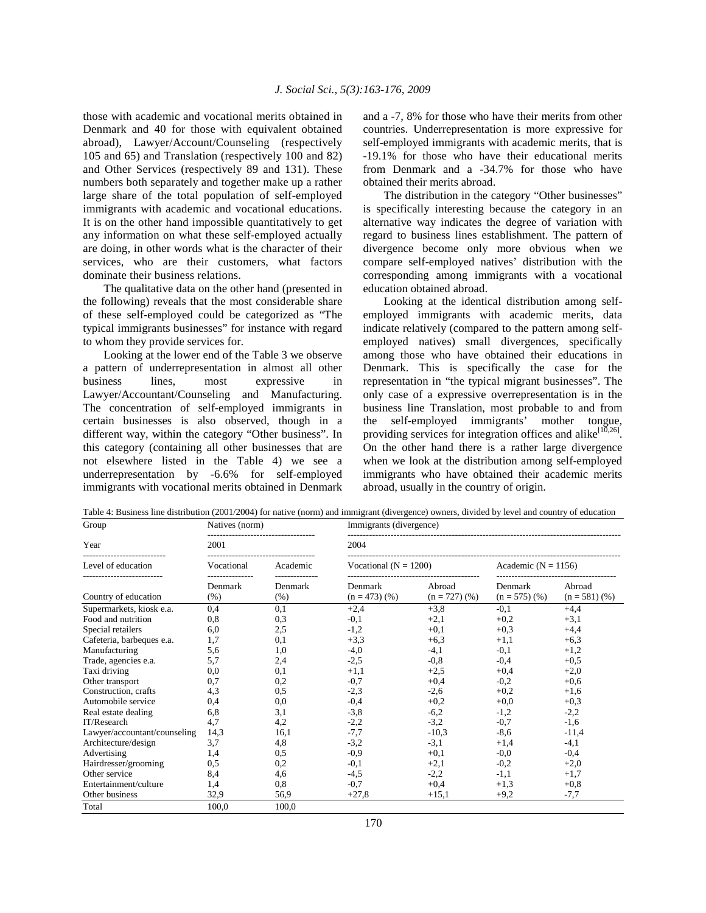those with academic and vocational merits obtained in Denmark and 40 for those with equivalent obtained abroad), Lawyer/Account/Counseling (respectively 105 and 65) and Translation (respectively 100 and 82) and Other Services (respectively 89 and 131). These numbers both separately and together make up a rather large share of the total population of self-employed immigrants with academic and vocational educations. It is on the other hand impossible quantitatively to get any information on what these self-employed actually are doing, in other words what is the character of their services, who are their customers, what factors dominate their business relations.

 The qualitative data on the other hand (presented in the following) reveals that the most considerable share of these self-employed could be categorized as "The typical immigrants businesses" for instance with regard to whom they provide services for.

 Looking at the lower end of the Table 3 we observe a pattern of underrepresentation in almost all other business lines, most expressive in Lawyer/Accountant/Counseling and Manufacturing. The concentration of self-employed immigrants in certain businesses is also observed, though in a different way, within the category "Other business". In this category (containing all other businesses that are not elsewhere listed in the Table 4) we see a underrepresentation by -6.6% for self-employed immigrants with vocational merits obtained in Denmark and a -7, 8% for those who have their merits from other countries. Underrepresentation is more expressive for self-employed immigrants with academic merits, that is -19.1% for those who have their educational merits from Denmark and a -34.7% for those who have obtained their merits abroad.

 The distribution in the category "Other businesses" is specifically interesting because the category in an alternative way indicates the degree of variation with regard to business lines establishment. The pattern of divergence become only more obvious when we compare self-employed natives' distribution with the corresponding among immigrants with a vocational education obtained abroad.

 Looking at the identical distribution among selfemployed immigrants with academic merits, data indicate relatively (compared to the pattern among selfemployed natives) small divergences, specifically among those who have obtained their educations in Denmark. This is specifically the case for the representation in "the typical migrant businesses". The only case of a expressive overrepresentation is in the business line Translation, most probable to and from the self-employed immigrants' mother tongue, providing services for integration offices and alike<sup>[10,26]</sup>. On the other hand there is a rather large divergence when we look at the distribution among self-employed immigrants who have obtained their academic merits abroad, usually in the country of origin.

Table 4: Business line distribution (2001/2004) for native (norm) and immigrant (divergence) owners, divided by level and country of education

| Group                        | Natives (norm)  |                 | Immigrants (divergence)    |                           |                            |                           |  |  |  |
|------------------------------|-----------------|-----------------|----------------------------|---------------------------|----------------------------|---------------------------|--|--|--|
| Year                         | 2001            |                 | 2004                       |                           |                            |                           |  |  |  |
| Level of education           | Vocational      | Academic        | Vocational ( $N = 1200$ )  |                           | Academic ( $N = 1156$ )    |                           |  |  |  |
| Country of education         | Denmark<br>(% ) | Denmark<br>(% ) | Denmark<br>$(n = 473)$ (%) | Abroad<br>$(n = 727)$ (%) | Denmark<br>$(n = 575)$ (%) | Abroad<br>$(n = 581)$ (%) |  |  |  |
| Supermarkets, kiosk e.a.     | 0,4             | 0,1             | $+2,4$                     | $+3.8$                    | $-0,1$                     | $+4.4$                    |  |  |  |
| Food and nutrition           | 0,8             | 0.3             | $-0.1$                     | $+2,1$                    | $+0.2$                     | $+3.1$                    |  |  |  |
| Special retailers            | 6,0             | 2,5             | $-1,2$                     | $+0,1$                    | $+0.3$                     | $+4,4$                    |  |  |  |
| Cafeteria, barbeques e.a.    | 1,7             | 0,1             | $+3,3$                     | $+6,3$                    | $+1,1$                     | $+6,3$                    |  |  |  |
| Manufacturing                | 5,6             | 1,0             | $-4,0$                     | $-4,1$                    | $-0,1$                     | $+1,2$                    |  |  |  |
| Trade, agencies e.a.         | 5,7             | 2,4             | $-2,5$                     | $-0.8$                    | $-0.4$                     | $+0.5$                    |  |  |  |
| Taxi driving                 | 0.0             | 0,1             | $+1,1$                     | $+2,5$                    | $+0,4$                     | $+2,0$                    |  |  |  |
| Other transport              | 0,7             | 0,2             | $-0,7$                     | $+0.4$                    | $-0,2$                     | $+0,6$                    |  |  |  |
| Construction, crafts         | 4,3             | 0,5             | $-2,3$                     | $-2,6$                    | $+0.2$                     | $+1,6$                    |  |  |  |
| Automobile service           | 0,4             | 0.0             | $-0.4$                     | $+0.2$                    | $+0,0$                     | $+0,3$                    |  |  |  |
| Real estate dealing          | 6,8             | 3,1             | $-3,8$                     | $-6,2$                    | $-1,2$                     | $-2,2$                    |  |  |  |
| IT/Research                  | 4,7             | 4,2             | $-2,2$                     | $-3,2$                    | $-0,7$                     | $-1,6$                    |  |  |  |
| Lawyer/accountant/counseling | 14,3            | 16.1            | $-7,7$                     | $-10.3$                   | $-8,6$                     | $-11.4$                   |  |  |  |
| Architecture/design          | 3,7             | 4,8             | $-3,2$                     | $-3,1$                    | $+1,4$                     | $-4,1$                    |  |  |  |
| Advertising                  | 1,4             | 0,5             | $-0,9$                     | $+0.1$                    | $-0.0$                     | $-0.4$                    |  |  |  |
| Hairdresser/grooming         | 0,5             | 0,2             | $-0,1$                     | $+2,1$                    | $-0,2$                     | $+2,0$                    |  |  |  |
| Other service                | 8,4             | 4,6             | $-4,5$                     | $-2,2$                    | $-1,1$                     | $+1,7$                    |  |  |  |
| Entertainment/culture        | 1,4             | 0,8             | $-0,7$                     | $+0,4$                    | $+1.3$                     | $+0,8$                    |  |  |  |
| Other business               | 32,9            | 56.9            | $+27.8$                    | $+15.1$                   | $+9.2$                     | $-7.7$                    |  |  |  |
| Total                        | 100,0           | 100,0           |                            |                           |                            |                           |  |  |  |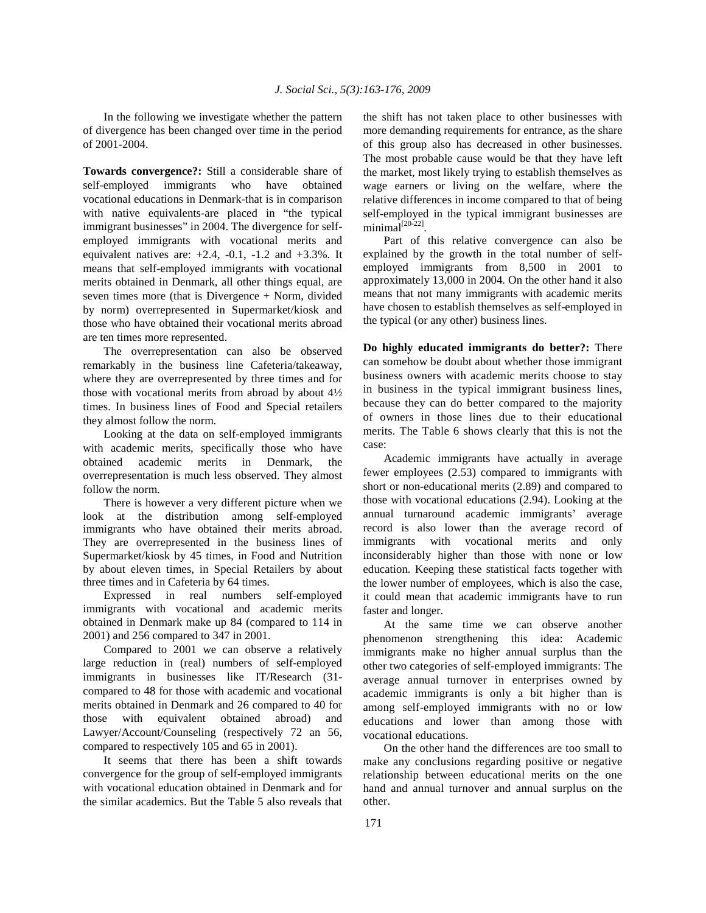In the following we investigate whether the pattern of divergence has been changed over time in the period of 2001-2004.

**Towards convergence?:** Still a considerable share of self-employed immigrants who have obtained vocational educations in Denmark-that is in comparison with native equivalents-are placed in "the typical immigrant businesses" in 2004. The divergence for selfemployed immigrants with vocational merits and equivalent natives are:  $+2.4$ ,  $-0.1$ ,  $-1.2$  and  $+3.3$ %. It means that self-employed immigrants with vocational merits obtained in Denmark, all other things equal, are seven times more (that is Divergence + Norm, divided by norm) overrepresented in Supermarket/kiosk and those who have obtained their vocational merits abroad are ten times more represented.

 The overrepresentation can also be observed remarkably in the business line Cafeteria/takeaway, where they are overrepresented by three times and for those with vocational merits from abroad by about 4½ times. In business lines of Food and Special retailers they almost follow the norm.

 Looking at the data on self-employed immigrants with academic merits, specifically those who have obtained academic merits in Denmark, the overrepresentation is much less observed. They almost follow the norm.

 There is however a very different picture when we look at the distribution among self-employed immigrants who have obtained their merits abroad. They are overrepresented in the business lines of Supermarket/kiosk by 45 times, in Food and Nutrition by about eleven times, in Special Retailers by about three times and in Cafeteria by 64 times.

 Expressed in real numbers self-employed immigrants with vocational and academic merits obtained in Denmark make up 84 (compared to 114 in 2001) and 256 compared to 347 in 2001.

 Compared to 2001 we can observe a relatively large reduction in (real) numbers of self-employed immigrants in businesses like IT/Research (31 compared to 48 for those with academic and vocational merits obtained in Denmark and 26 compared to 40 for those with equivalent obtained abroad) and Lawyer/Account/Counseling (respectively 72 an 56, compared to respectively 105 and 65 in 2001).

 It seems that there has been a shift towards convergence for the group of self-employed immigrants with vocational education obtained in Denmark and for the similar academics. But the Table 5 also reveals that the shift has not taken place to other businesses with more demanding requirements for entrance, as the share of this group also has decreased in other businesses. The most probable cause would be that they have left the market, most likely trying to establish themselves as wage earners or living on the welfare, where the relative differences in income compared to that of being self-employed in the typical immigrant businesses are minimal<sup>[20-22]</sup>.

 Part of this relative convergence can also be explained by the growth in the total number of selfemployed immigrants from 8,500 in 2001 to approximately 13,000 in 2004. On the other hand it also means that not many immigrants with academic merits have chosen to establish themselves as self-employed in the typical (or any other) business lines.

**Do highly educated immigrants do better?:** There can somehow be doubt about whether those immigrant business owners with academic merits choose to stay in business in the typical immigrant business lines, because they can do better compared to the majority of owners in those lines due to their educational merits. The Table 6 shows clearly that this is not the case:

 Academic immigrants have actually in average fewer employees (2.53) compared to immigrants with short or non-educational merits (2.89) and compared to those with vocational educations (2.94). Looking at the annual turnaround academic immigrants' average record is also lower than the average record of immigrants with vocational merits and only inconsiderably higher than those with none or low education. Keeping these statistical facts together with the lower number of employees, which is also the case, it could mean that academic immigrants have to run faster and longer.

 At the same time we can observe another phenomenon strengthening this idea: Academic immigrants make no higher annual surplus than the other two categories of self-employed immigrants: The average annual turnover in enterprises owned by academic immigrants is only a bit higher than is among self-employed immigrants with no or low educations and lower than among those with vocational educations.

 On the other hand the differences are too small to make any conclusions regarding positive or negative relationship between educational merits on the one hand and annual turnover and annual surplus on the other.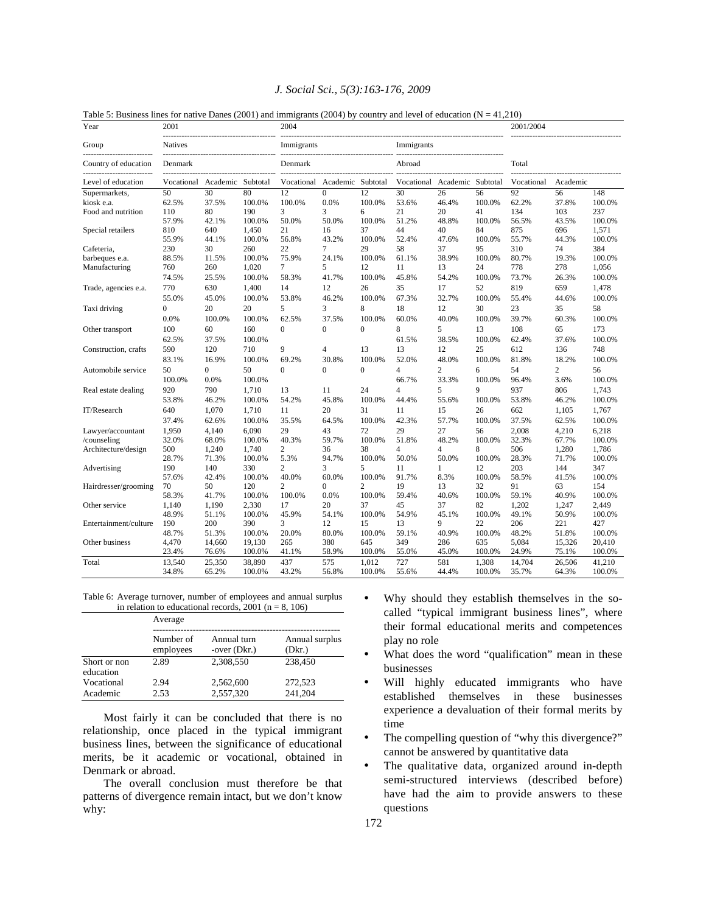|  |  |  | J. Social Sci., 5(3):163-176, 2009 |  |
|--|--|--|------------------------------------|--|
|--|--|--|------------------------------------|--|

| Table 5: Business lines for native Danes (2001) and immigrants (2004) by country and level of education $(N = 41,210)$ |
|------------------------------------------------------------------------------------------------------------------------|
|------------------------------------------------------------------------------------------------------------------------|

| Year                  | 2001           |                |          | Fabic 5. Dusiness lines for halfve Danes (2001) and immigrants (2004) by country and level of culcation (18 – 41,210<br>2004 |                   |                 |                |                   |        | 2001/2004  |                |        |
|-----------------------|----------------|----------------|----------|------------------------------------------------------------------------------------------------------------------------------|-------------------|-----------------|----------------|-------------------|--------|------------|----------------|--------|
| Group                 | <b>Natives</b> |                |          | Immigrants                                                                                                                   | Immigrants        |                 |                |                   |        |            |                |        |
| Country of education  | Denmark        |                |          | Denmark                                                                                                                      |                   |                 | Abroad         |                   |        | Total      |                |        |
| Level of education    | Vocational     | Academic       | Subtotal | Vocational                                                                                                                   | Academic Subtotal |                 | Vocational     | Academic Subtotal |        | Vocational | Academic       |        |
| Supermarkets,         | 50             | 30             | 80       | $\overline{12}$                                                                                                              | $\overline{0}$    | $\overline{12}$ | 30             | 26                | 56     | 92         | 56             | 148    |
| kiosk e.a.            | 62.5%          | 37.5%          | 100.0%   | 100.0%                                                                                                                       | 0.0%              | 100.0%          | 53.6%          | 46.4%             | 100.0% | 62.2%      | 37.8%          | 100.0% |
| Food and nutrition    | 110            | 80             | 190      | 3                                                                                                                            | 3                 | 6               | 21             | 20                | 41     | 134        | 103            | 237    |
|                       | 57.9%          | 42.1%          | 100.0%   | 50.0%                                                                                                                        | 50.0%             | 100.0%          | 51.2%          | 48.8%             | 100.0% | 56.5%      | 43.5%          | 100.0% |
| Special retailers     | 810            | 640            | 1,450    | 21                                                                                                                           | 16                | 37              | 44             | 40                | 84     | 875        | 696            | 1,571  |
|                       | 55.9%          | 44.1%          | 100.0%   | 56.8%                                                                                                                        | 43.2%             | 100.0%          | 52.4%          | 47.6%             | 100.0% | 55.7%      | 44.3%          | 100.0% |
| Cafeteria,            | 230            | 30             | 260      | 22                                                                                                                           | 7                 | 29              | 58             | 37                | 95     | 310        | 74             | 384    |
| barbeques e.a.        | 88.5%          | 11.5%          | 100.0%   | 75.9%                                                                                                                        | 24.1%             | 100.0%          | 61.1%          | 38.9%             | 100.0% | 80.7%      | 19.3%          | 100.0% |
| Manufacturing         | 760            | 260            | 1,020    | $\overline{7}$                                                                                                               | 5                 | 12              | 11             | 13                | 24     | 778        | 278            | 1,056  |
|                       | 74.5%          | 25.5%          | 100.0%   | 58.3%                                                                                                                        | 41.7%             | 100.0%          | 45.8%          | 54.2%             | 100.0% | 73.7%      | 26.3%          | 100.0% |
| Trade, agencies e.a.  | 770            | 630            | 1.400    | 14                                                                                                                           | 12                | 26              | 35             | 17                | 52     | 819        | 659            | 1.478  |
|                       | 55.0%          | 45.0%          | 100.0%   | 53.8%                                                                                                                        | 46.2%             | 100.0%          | 67.3%          | 32.7%             | 100.0% | 55.4%      | 44.6%          | 100.0% |
| Taxi driving          | $\mathbf{0}$   | 20             | 20       | 5                                                                                                                            | 3                 | 8               | 18             | 12                | 30     | 23         | 35             | 58     |
|                       | 0.0%           | 100.0%         | 100.0%   | 62.5%                                                                                                                        | 37.5%             | 100.0%          | 60.0%          | 40.0%             | 100.0% | 39.7%      | 60.3%          | 100.0% |
| Other transport       | 100            | 60             | 160      | $\theta$                                                                                                                     | $\theta$          | $\theta$        | 8              | 5                 | 13     | 108        | 65             | 173    |
|                       | 62.5%          | 37.5%          | 100.0%   |                                                                                                                              |                   |                 | 61.5%          | 38.5%             | 100.0% | 62.4%      | 37.6%          | 100.0% |
| Construction, crafts  | 590            | 120            | 710      | 9                                                                                                                            | $\overline{4}$    | 13              | 13             | 12                | 25     | 612        | 136            | 748    |
|                       | 83.1%          | 16.9%          | 100.0%   | 69.2%                                                                                                                        | 30.8%             | 100.0%          | 52.0%          | 48.0%             | 100.0% | 81.8%      | 18.2%          | 100.0% |
| Automobile service    | 50             | $\overline{0}$ | 50       | $\Omega$                                                                                                                     | $\theta$          | $\Omega$        | $\overline{4}$ | $\overline{c}$    | 6      | 54         | $\overline{c}$ | 56     |
|                       | 100.0%         | 0.0%           | 100.0%   |                                                                                                                              |                   |                 | 66.7%          | 33.3%             | 100.0% | 96.4%      | 3.6%           | 100.0% |
| Real estate dealing   | 920            | 790            | 1,710    | 13                                                                                                                           | 11                | 24              | $\overline{4}$ | 5                 | 9      | 937        | 806            | 1,743  |
|                       | 53.8%          | 46.2%          | 100.0%   | 54.2%                                                                                                                        | 45.8%             | 100.0%          | 44.4%          | 55.6%             | 100.0% | 53.8%      | 46.2%          | 100.0% |
| IT/Research           | 640            | 1,070          | 1,710    | 11                                                                                                                           | 20                | 31              | 11             | 15                | 26     | 662        | 1,105          | 1,767  |
|                       | 37.4%          | 62.6%          | 100.0%   | 35.5%                                                                                                                        | 64.5%             | 100.0%          | 42.3%          | 57.7%             | 100.0% | 37.5%      | 62.5%          | 100.0% |
| Lawyer/accountant     | 1,950          | 4.140          | 6.090    | 29                                                                                                                           | 43                | 72              | 29             | 27                | 56     | 2.008      | 4,210          | 6.218  |
| /counseling           | 32.0%          | 68.0%          | 100.0%   | 40.3%                                                                                                                        | 59.7%             | 100.0%          | 51.8%          | 48.2%             | 100.0% | 32.3%      | 67.7%          | 100.0% |
| Architecture/design   | 500            | 1,240          | 1.740    | $\overline{c}$                                                                                                               | 36                | 38              | $\overline{4}$ | $\overline{4}$    | 8      | 506        | 1,280          | 1.786  |
|                       | 28.7%          | 71.3%          | 100.0%   | 5.3%                                                                                                                         | 94.7%             | 100.0%          | 50.0%          | 50.0%             | 100.0% | 28.3%      | 71.7%          | 100.0% |
| Advertising           | 190            | 140            | 330      | $\overline{c}$                                                                                                               | 3                 | 5               | 11             | 1                 | 12     | 203        | 144            | 347    |
|                       | 57.6%          | 42.4%          | 100.0%   | 40.0%                                                                                                                        | 60.0%             | 100.0%          | 91.7%          | 8.3%              | 100.0% | 58.5%      | 41.5%          | 100.0% |
| Hairdresser/grooming  | 70             | 50             | 120      | $\overline{c}$                                                                                                               | $\theta$          | $\mathfrak{2}$  | 19             | 13                | 32     | 91         | 63             | 154    |
|                       | 58.3%          | 41.7%          | 100.0%   | 100.0%                                                                                                                       | 0.0%              | 100.0%          | 59.4%          | 40.6%             | 100.0% | 59.1%      | 40.9%          | 100.0% |
| Other service         | 1,140          | 1,190          | 2,330    | 17                                                                                                                           | 20                | 37              | 45             | 37                | 82     | 1,202      | 1,247          | 2,449  |
|                       | 48.9%          | 51.1%          | 100.0%   | 45.9%                                                                                                                        | 54.1%             | 100.0%          | 54.9%          | 45.1%             | 100.0% | 49.1%      | 50.9%          | 100.0% |
| Entertainment/culture | 190            | 200            | 390      | 3                                                                                                                            | 12                | 15              | 13             | 9                 | 22     | 206        | 221            | 427    |
|                       | 48.7%          | 51.3%          | 100.0%   | 20.0%                                                                                                                        | 80.0%             | 100.0%          | 59.1%          | 40.9%             | 100.0% | 48.2%      | 51.8%          | 100.0% |
| Other business        | 4,470          | 14,660         | 19,130   | 265                                                                                                                          | 380               | 645             | 349            | 286               | 635    | 5,084      | 15,326         | 20,410 |
|                       | 23.4%          | 76.6%          | 100.0%   | 41.1%                                                                                                                        | 58.9%             | 100.0%          | 55.0%          | 45.0%             | 100.0% | 24.9%      | 75.1%          | 100.0% |
| Total                 | 13,540         | 25,350         | 38,890   | 437                                                                                                                          | 575               | 1,012           | 727            | 581               | 1,308  | 14,704     | 26,506         | 41,210 |
|                       | 34.8%          | 65.2%          | 100.0%   | 43.2%                                                                                                                        | 56.8%             | 100.0%          | 55.6%          | 44.4%             | 100.0% | 35.7%      | 64.3%          | 100.0% |

Table 6: Average turnover, number of employees and annual surplus in relation to educational records,  $2001$  (n = 8, 106)

|                           | Average                |                               |                          |  |  |  |  |  |
|---------------------------|------------------------|-------------------------------|--------------------------|--|--|--|--|--|
|                           | Number of<br>employees | Annual turn<br>-over $(Dkr.)$ | Annual surplus<br>(Dkr.) |  |  |  |  |  |
| Short or non<br>education | 2.89                   | 2.308.550                     | 238,450                  |  |  |  |  |  |
| Vocational                | 2.94                   | 2,562,600                     | 272,523                  |  |  |  |  |  |
| Academic                  | 2.53                   | 2,557,320                     | 241,204                  |  |  |  |  |  |

 Most fairly it can be concluded that there is no relationship, once placed in the typical immigrant business lines, between the significance of educational merits, be it academic or vocational, obtained in Denmark or abroad.

 The overall conclusion must therefore be that patterns of divergence remain intact, but we don't know why:

- Why should they establish themselves in the socalled "typical immigrant business lines", where their formal educational merits and competences play no role
- What does the word "qualification" mean in these businesses
- Will highly educated immigrants who have established themselves in these businesses experience a devaluation of their formal merits by time
- The compelling question of "why this divergence?" cannot be answered by quantitative data
- The qualitative data, organized around in-depth semi-structured interviews (described before) have had the aim to provide answers to these questions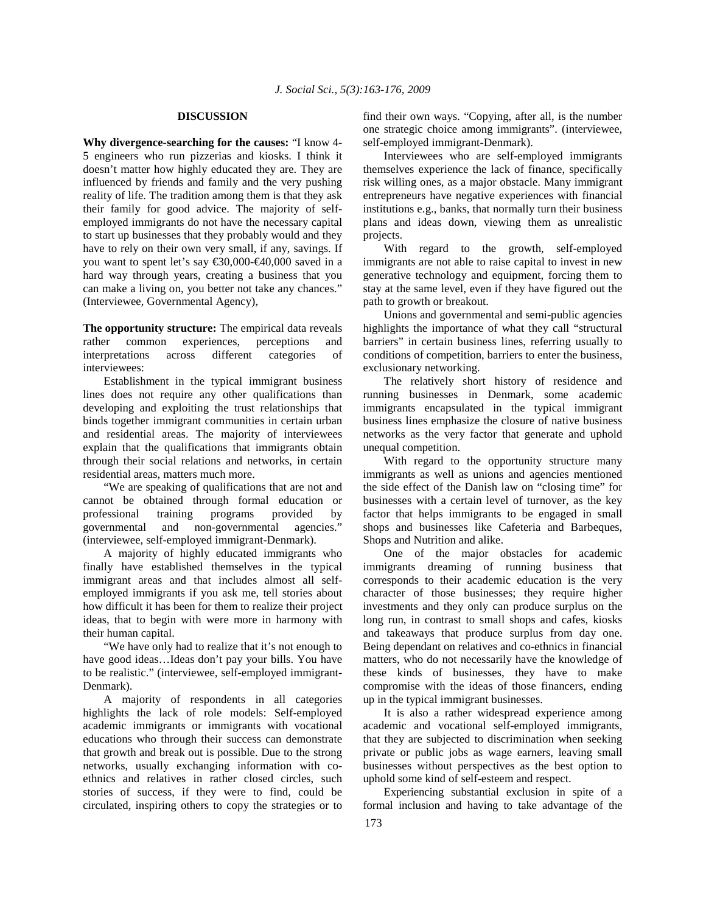#### **DISCUSSION**

**Why divergence-searching for the causes:** "I know 4- 5 engineers who run pizzerias and kiosks. I think it doesn't matter how highly educated they are. They are influenced by friends and family and the very pushing reality of life. The tradition among them is that they ask their family for good advice. The majority of selfemployed immigrants do not have the necessary capital to start up businesses that they probably would and they have to rely on their own very small, if any, savings. If you want to spent let's say  $\text{\textsterling}30,000-\text{\textsterling}40,000$  saved in a hard way through years, creating a business that you can make a living on, you better not take any chances." (Interviewee, Governmental Agency),

**The opportunity structure:** The empirical data reveals rather common experiences, perceptions and interpretations across different categories of interviewees:

 Establishment in the typical immigrant business lines does not require any other qualifications than developing and exploiting the trust relationships that binds together immigrant communities in certain urban and residential areas. The majority of interviewees explain that the qualifications that immigrants obtain through their social relations and networks, in certain residential areas, matters much more.

 "We are speaking of qualifications that are not and cannot be obtained through formal education or professional training programs provided by governmental and non-governmental agencies." (interviewee, self-employed immigrant-Denmark).

 A majority of highly educated immigrants who finally have established themselves in the typical immigrant areas and that includes almost all selfemployed immigrants if you ask me, tell stories about how difficult it has been for them to realize their project ideas, that to begin with were more in harmony with their human capital.

 "We have only had to realize that it's not enough to have good ideas…Ideas don't pay your bills. You have to be realistic." (interviewee, self-employed immigrant-Denmark).

 A majority of respondents in all categories highlights the lack of role models: Self-employed academic immigrants or immigrants with vocational educations who through their success can demonstrate that growth and break out is possible. Due to the strong networks, usually exchanging information with coethnics and relatives in rather closed circles, such stories of success, if they were to find, could be circulated, inspiring others to copy the strategies or to

find their own ways. "Copying, after all, is the number one strategic choice among immigrants". (interviewee, self-employed immigrant-Denmark).

 Interviewees who are self-employed immigrants themselves experience the lack of finance, specifically risk willing ones, as a major obstacle. Many immigrant entrepreneurs have negative experiences with financial institutions e.g., banks, that normally turn their business plans and ideas down, viewing them as unrealistic projects.

 With regard to the growth, self-employed immigrants are not able to raise capital to invest in new generative technology and equipment, forcing them to stay at the same level, even if they have figured out the path to growth or breakout.

 Unions and governmental and semi-public agencies highlights the importance of what they call "structural barriers" in certain business lines, referring usually to conditions of competition, barriers to enter the business, exclusionary networking.

 The relatively short history of residence and running businesses in Denmark, some academic immigrants encapsulated in the typical immigrant business lines emphasize the closure of native business networks as the very factor that generate and uphold unequal competition.

 With regard to the opportunity structure many immigrants as well as unions and agencies mentioned the side effect of the Danish law on "closing time" for businesses with a certain level of turnover, as the key factor that helps immigrants to be engaged in small shops and businesses like Cafeteria and Barbeques, Shops and Nutrition and alike.

 One of the major obstacles for academic immigrants dreaming of running business that corresponds to their academic education is the very character of those businesses; they require higher investments and they only can produce surplus on the long run, in contrast to small shops and cafes, kiosks and takeaways that produce surplus from day one. Being dependant on relatives and co-ethnics in financial matters, who do not necessarily have the knowledge of these kinds of businesses, they have to make compromise with the ideas of those financers, ending up in the typical immigrant businesses.

 It is also a rather widespread experience among academic and vocational self-employed immigrants, that they are subjected to discrimination when seeking private or public jobs as wage earners, leaving small businesses without perspectives as the best option to uphold some kind of self-esteem and respect.

 Experiencing substantial exclusion in spite of a formal inclusion and having to take advantage of the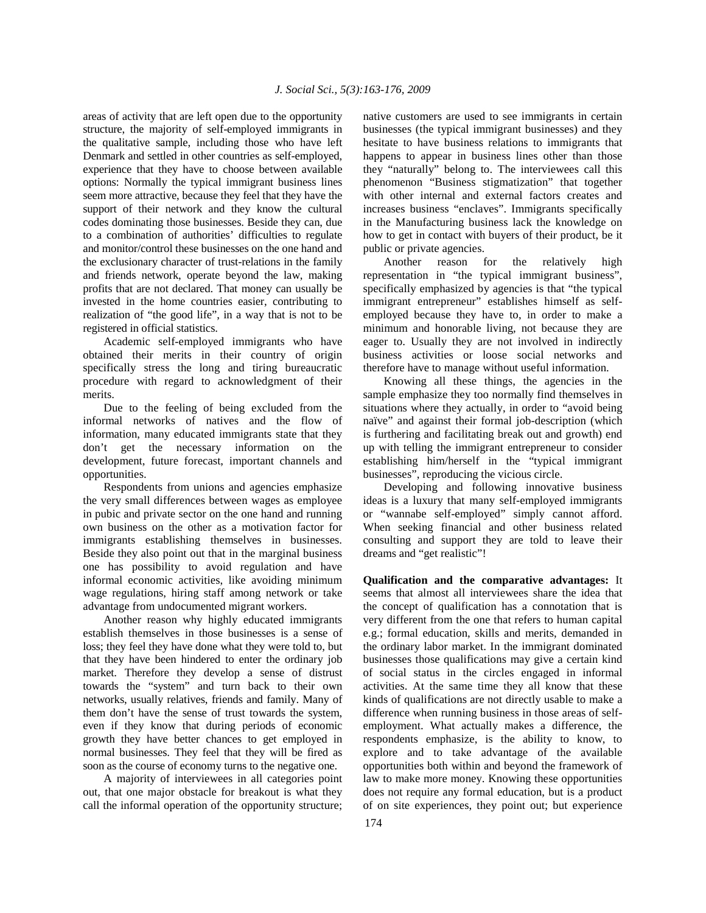areas of activity that are left open due to the opportunity structure, the majority of self-employed immigrants in the qualitative sample, including those who have left Denmark and settled in other countries as self-employed, experience that they have to choose between available options: Normally the typical immigrant business lines seem more attractive, because they feel that they have the support of their network and they know the cultural codes dominating those businesses. Beside they can, due to a combination of authorities' difficulties to regulate and monitor/control these businesses on the one hand and the exclusionary character of trust-relations in the family and friends network, operate beyond the law, making profits that are not declared. That money can usually be invested in the home countries easier, contributing to realization of "the good life", in a way that is not to be registered in official statistics.

 Academic self-employed immigrants who have obtained their merits in their country of origin specifically stress the long and tiring bureaucratic procedure with regard to acknowledgment of their merits.

 Due to the feeling of being excluded from the informal networks of natives and the flow of information, many educated immigrants state that they don't get the necessary information on the development, future forecast, important channels and opportunities.

 Respondents from unions and agencies emphasize the very small differences between wages as employee in pubic and private sector on the one hand and running own business on the other as a motivation factor for immigrants establishing themselves in businesses. Beside they also point out that in the marginal business one has possibility to avoid regulation and have informal economic activities, like avoiding minimum wage regulations, hiring staff among network or take advantage from undocumented migrant workers.

 Another reason why highly educated immigrants establish themselves in those businesses is a sense of loss; they feel they have done what they were told to, but that they have been hindered to enter the ordinary job market. Therefore they develop a sense of distrust towards the "system" and turn back to their own networks, usually relatives, friends and family. Many of them don't have the sense of trust towards the system, even if they know that during periods of economic growth they have better chances to get employed in normal businesses. They feel that they will be fired as soon as the course of economy turns to the negative one.

 A majority of interviewees in all categories point out, that one major obstacle for breakout is what they call the informal operation of the opportunity structure;

native customers are used to see immigrants in certain businesses (the typical immigrant businesses) and they hesitate to have business relations to immigrants that happens to appear in business lines other than those they "naturally" belong to. The interviewees call this phenomenon "Business stigmatization" that together with other internal and external factors creates and increases business "enclaves". Immigrants specifically in the Manufacturing business lack the knowledge on how to get in contact with buyers of their product, be it public or private agencies.

 Another reason for the relatively high representation in "the typical immigrant business", specifically emphasized by agencies is that "the typical immigrant entrepreneur" establishes himself as selfemployed because they have to, in order to make a minimum and honorable living, not because they are eager to. Usually they are not involved in indirectly business activities or loose social networks and therefore have to manage without useful information.

 Knowing all these things, the agencies in the sample emphasize they too normally find themselves in situations where they actually, in order to "avoid being naïve" and against their formal job-description (which is furthering and facilitating break out and growth) end up with telling the immigrant entrepreneur to consider establishing him/herself in the "typical immigrant businesses", reproducing the vicious circle.

 Developing and following innovative business ideas is a luxury that many self-employed immigrants or "wannabe self-employed" simply cannot afford. When seeking financial and other business related consulting and support they are told to leave their dreams and "get realistic"!

**Qualification and the comparative advantages:** It seems that almost all interviewees share the idea that the concept of qualification has a connotation that is very different from the one that refers to human capital e.g.; formal education, skills and merits, demanded in the ordinary labor market. In the immigrant dominated businesses those qualifications may give a certain kind of social status in the circles engaged in informal activities. At the same time they all know that these kinds of qualifications are not directly usable to make a difference when running business in those areas of selfemployment. What actually makes a difference, the respondents emphasize, is the ability to know, to explore and to take advantage of the available opportunities both within and beyond the framework of law to make more money. Knowing these opportunities does not require any formal education, but is a product of on site experiences, they point out; but experience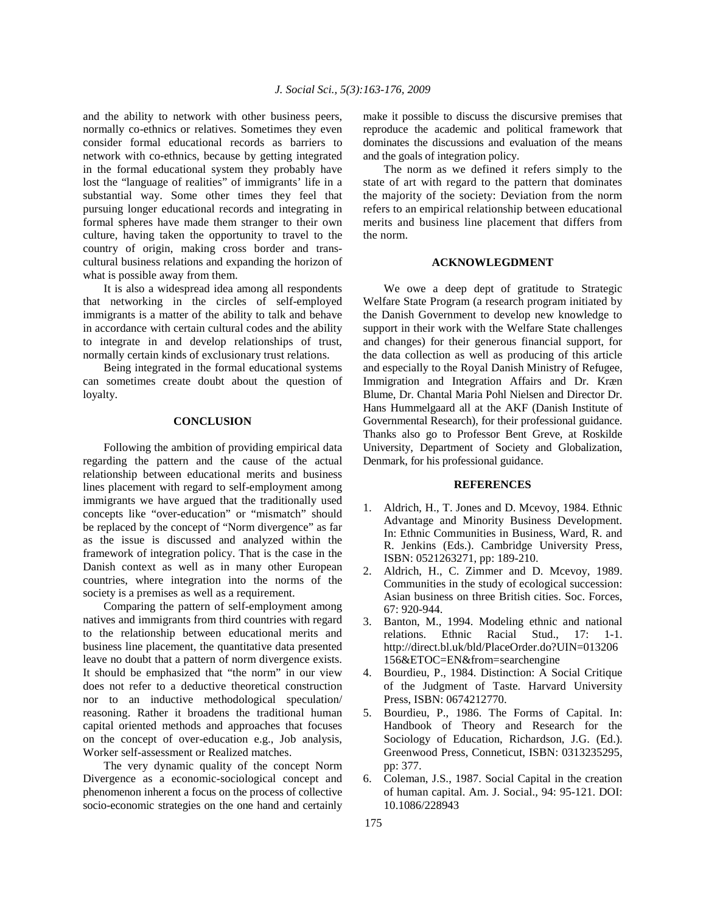and the ability to network with other business peers, normally co-ethnics or relatives. Sometimes they even consider formal educational records as barriers to network with co-ethnics, because by getting integrated in the formal educational system they probably have lost the "language of realities" of immigrants' life in a substantial way. Some other times they feel that pursuing longer educational records and integrating in formal spheres have made them stranger to their own culture, having taken the opportunity to travel to the country of origin, making cross border and transcultural business relations and expanding the horizon of what is possible away from them.

 It is also a widespread idea among all respondents that networking in the circles of self-employed immigrants is a matter of the ability to talk and behave in accordance with certain cultural codes and the ability to integrate in and develop relationships of trust, normally certain kinds of exclusionary trust relations.

 Being integrated in the formal educational systems can sometimes create doubt about the question of loyalty.

#### **CONCLUSION**

 Following the ambition of providing empirical data regarding the pattern and the cause of the actual relationship between educational merits and business lines placement with regard to self-employment among immigrants we have argued that the traditionally used concepts like "over-education" or "mismatch" should be replaced by the concept of "Norm divergence" as far as the issue is discussed and analyzed within the framework of integration policy. That is the case in the Danish context as well as in many other European countries, where integration into the norms of the society is a premises as well as a requirement.

 Comparing the pattern of self-employment among natives and immigrants from third countries with regard to the relationship between educational merits and business line placement, the quantitative data presented leave no doubt that a pattern of norm divergence exists. It should be emphasized that "the norm" in our view does not refer to a deductive theoretical construction nor to an inductive methodological speculation/ reasoning. Rather it broadens the traditional human capital oriented methods and approaches that focuses on the concept of over-education e.g., Job analysis, Worker self-assessment or Realized matches.

 The very dynamic quality of the concept Norm Divergence as a economic-sociological concept and phenomenon inherent a focus on the process of collective socio-economic strategies on the one hand and certainly

make it possible to discuss the discursive premises that reproduce the academic and political framework that dominates the discussions and evaluation of the means and the goals of integration policy.

 The norm as we defined it refers simply to the state of art with regard to the pattern that dominates the majority of the society: Deviation from the norm refers to an empirical relationship between educational merits and business line placement that differs from the norm.

#### **ACKNOWLEGDMENT**

 We owe a deep dept of gratitude to Strategic Welfare State Program (a research program initiated by the Danish Government to develop new knowledge to support in their work with the Welfare State challenges and changes) for their generous financial support, for the data collection as well as producing of this article and especially to the Royal Danish Ministry of Refugee, Immigration and Integration Affairs and Dr. Kræn Blume, Dr. Chantal Maria Pohl Nielsen and Director Dr. Hans Hummelgaard all at the AKF (Danish Institute of Governmental Research), for their professional guidance. Thanks also go to Professor Bent Greve, at Roskilde University, Department of Society and Globalization, Denmark, for his professional guidance.

### **REFERENCES**

- 1. Aldrich, H., T. Jones and D. Mcevoy, 1984. Ethnic Advantage and Minority Business Development. In: Ethnic Communities in Business, Ward, R. and R. Jenkins (Eds.). Cambridge University Press, ISBN: 0521263271, pp: 189-210.
- 2. Aldrich, H., C. Zimmer and D. Mcevoy, 1989. Communities in the study of ecological succession: Asian business on three British cities. Soc. Forces, 67: 920-944.
- 3. Banton, M., 1994. Modeling ethnic and national relations. Ethnic Racial Stud., 17: 1-1. http://direct.bl.uk/bld/PlaceOrder.do?UIN=013206 156&ETOC=EN&from=searchengine
- 4. Bourdieu, P., 1984. Distinction: A Social Critique of the Judgment of Taste. Harvard University Press, ISBN: 0674212770.
- 5. Bourdieu, P., 1986. The Forms of Capital. In: Handbook of Theory and Research for the Sociology of Education, Richardson, J.G. (Ed.). Greenwood Press, Conneticut, ISBN: 0313235295, pp: 377.
- 6. Coleman, J.S., 1987. Social Capital in the creation of human capital. Am. J. Social., 94: 95-121. DOI: 10.1086/228943